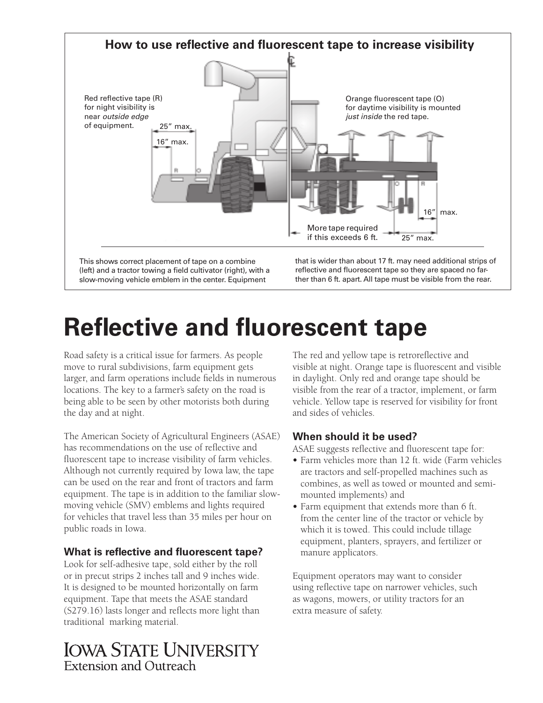

slow-moving vehicle emblem in the center. Equipment

(left) and a tractor towing a field cultivator (right), with a reflective and fluorescent tape so they are spaced no far-<br>slow-moving vehicle emblem in the center. Equipment ther than 6 ft. apart. All tape must be visible

# **Reflective and fluorescent tape**

Road safety is a critical issue for farmers. As people move to rural subdivisions, farm equipment gets larger, and farm operations include felds in numerous locations. The key to a farmer's safety on the road is being able to be seen by other motorists both during the day and at night.

The American Society of Agricultural Engineers (ASAE) has recommendations on the use of refective and fuorescent tape to increase visibility of farm vehicles. Although not currently required by Iowa law, the tape can be used on the rear and front of tractors and farm equipment. The tape is in addition to the familiar slowmoving vehicle (SMV) emblems and lights required for vehicles that travel less than 35 miles per hour on public roads in Iowa.

# **What is refective and fuorescent tape?**

Look for self-adhesive tape, sold either by the roll or in precut strips 2 inches tall and 9 inches wide. It is designed to be mounted horizontally on farm equipment. Tape that meets the ASAE standard (S279.16) lasts longer and refects more light than traditional marking material.

**IOWA STATE UNIVERSITY Extension and Outreach** 

The red and yellow tape is retroreflective and visible at night. Orange tape is fuorescent and visible in daylight. Only red and orange tape should be visible from the rear of a tractor, implement, or farm vehicle. Yellow tape is reserved for visibility for front and sides of vehicles.

# **When should it be used?**

ASAE suggests reflective and fluorescent tape for:

- Farm vehicles more than 12 ft. wide (Farm vehicles are tractors and self-propelled machines such as combines, as well as towed or mounted and semimounted implements) and
- **•** Farm equipment that extends more than 6 ft. from the center line of the tractor or vehicle by which it is towed. This could include tillage equipment, planters, sprayers, and fertilizer or manure applicators.

Equipment operators may want to consider using refective tape on narrower vehicles, such as wagons, mowers, or utility tractors for an extra measure of safety.